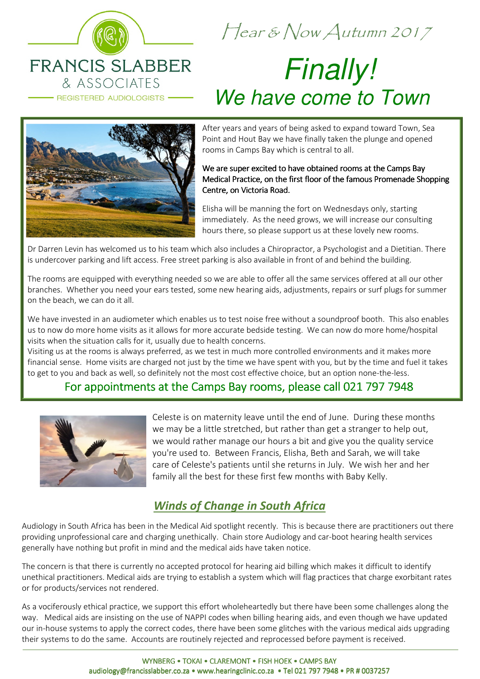

Hear & Now Autumn 2017

# Finally! We have come to Town



After years and years of being asked to expand toward Town, Sea Point and Hout Bay we have finally taken the plunge and opened rooms in Camps Bay which is central to all.

#### We are super excited to have obtained rooms at the Camps Bay Medical Practice, on the first floor of the famous Promenade Shopping Centre, on Victoria Road.

Elisha will be manning the fort on Wednesdays only, starting immediately. As the need grows, we will increase our consulting hours there, so please support us at these lovely new rooms.

Dr Darren Levin has welcomed us to his team which also includes a Chiropractor, a Psychologist and a Dietitian. There is undercover parking and lift access. Free street parking is also available in front of and behind the building.

The rooms are equipped with everything needed so we are able to offer all the same services offered at all our other branches. Whether you need your ears tested, some new hearing aids, adjustments, repairs or surf plugs for summer on the beach, we can do it all.

We have invested in an audiometer which enables us to test noise free without a soundproof booth. This also enables us to now do more home visits as it allows for more accurate bedside testing. We can now do more home/hospital visits when the situation calls for it, usually due to health concerns.

Visiting us at the rooms is always preferred, as we test in much more controlled environments and it makes more financial sense. Home visits are charged not just by the time we have spent with you, but by the time and fuel it takes to get to you and back as well, so definitely not the most cost effective choice, but an option none-the-less.

### For appointments at the Camps Bay rooms, please call 021 797 7948



Celeste is on maternity leave until the end of June. During these months we may be a little stretched, but rather than get a stranger to help out, we would rather manage our hours a bit and give you the quality service you're used to. Between Francis, Elisha, Beth and Sarah, we will take care of Celeste's patients until she returns in July. We wish her and her family all the best for these first few months with Baby Kelly.

## **Winds of Change in South Africa**

Audiology in South Africa has been in the Medical Aid spotlight recently. This is because there are practitioners out there providing unprofessional care and charging unethically. Chain store Audiology and car-boot hearing health services generally have nothing but profit in mind and the medical aids have taken notice.

The concern is that there is currently no accepted protocol for hearing aid billing which makes it difficult to identify unethical practitioners. Medical aids are trying to establish a system which will flag practices that charge exorbitant rates or for products/services not rendered.

As a vociferously ethical practice, we support this effort wholeheartedly but there have been some challenges along the way. Medical aids are insisting on the use of NAPPI codes when billing hearing aids, and even though we have updated our in-house systems to apply the correct codes, there have been some glitches with the various medical aids upgrading their systems to do the same. Accounts are routinely rejected and reprocessed before payment is received.